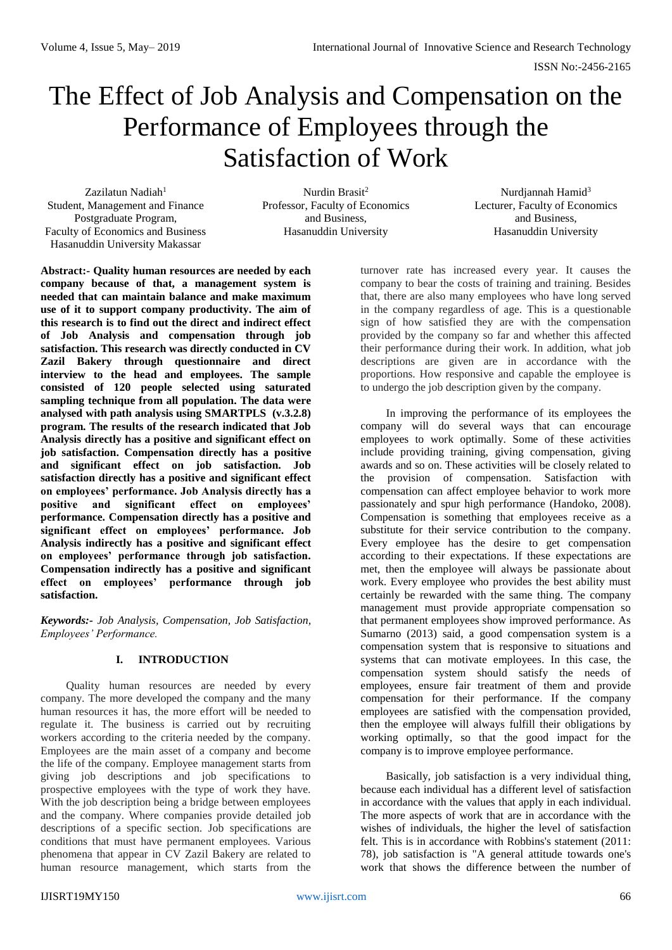# The Effect of Job Analysis and Compensation on the Performance of Employees through the Satisfaction of Work

Zazilatun Nadiah<sup>1</sup> Student, Management and Finance Postgraduate Program, Faculty of Economics and Business Hasanuddin University Makassar

Nurdin Brasit<sup>2</sup> Professor, Faculty of Economics and Business, Hasanuddin University

Nurdjannah Hamid<sup>3</sup> Lecturer, Faculty of Economics and Business, Hasanuddin University

**Abstract:- Quality human resources are needed by each company because of that, a management system is needed that can maintain balance and make maximum use of it to support company productivity. The aim of this research is to find out the direct and indirect effect of Job Analysis and compensation through job satisfaction. This research was directly conducted in CV Zazil Bakery through questionnaire and direct interview to the head and employees. The sample consisted of 120 people selected using saturated sampling technique from all population. The data were analysed with path analysis using SMARTPLS (v.3.2.8) program. The results of the research indicated that Job Analysis directly has a positive and significant effect on job satisfaction. Compensation directly has a positive and significant effect on job satisfaction. Job satisfaction directly has a positive and significant effect on employees' performance. Job Analysis directly has a positive and significant effect on employees' performance. Compensation directly has a positive and significant effect on employees' performance. Job Analysis indirectly has a positive and significant effect on employees' performance through job satisfaction. Compensation indirectly has a positive and significant effect on employees' performance through job satisfaction.** 

*Keywords:- Job Analysis, Compensation, Job Satisfaction, Employees' Performance.*

# **I. INTRODUCTION**

Quality human resources are needed by every company. The more developed the company and the many human resources it has, the more effort will be needed to regulate it. The business is carried out by recruiting workers according to the criteria needed by the company. Employees are the main asset of a company and become the life of the company. Employee management starts from giving job descriptions and job specifications to prospective employees with the type of work they have. With the job description being a bridge between employees and the company. Where companies provide detailed job descriptions of a specific section. Job specifications are conditions that must have permanent employees. Various phenomena that appear in CV Zazil Bakery are related to human resource management, which starts from the

turnover rate has increased every year. It causes the company to bear the costs of training and training. Besides that, there are also many employees who have long served in the company regardless of age. This is a questionable sign of how satisfied they are with the compensation provided by the company so far and whether this affected their performance during their work. In addition, what job descriptions are given are in accordance with the proportions. How responsive and capable the employee is to undergo the job description given by the company.

In improving the performance of its employees the company will do several ways that can encourage employees to work optimally. Some of these activities include providing training, giving compensation, giving awards and so on. These activities will be closely related to the provision of compensation. Satisfaction with compensation can affect employee behavior to work more passionately and spur high performance (Handoko, 2008). Compensation is something that employees receive as a substitute for their service contribution to the company. Every employee has the desire to get compensation according to their expectations. If these expectations are met, then the employee will always be passionate about work. Every employee who provides the best ability must certainly be rewarded with the same thing. The company management must provide appropriate compensation so that permanent employees show improved performance. As Sumarno (2013) said, a good compensation system is a compensation system that is responsive to situations and systems that can motivate employees. In this case, the compensation system should satisfy the needs of employees, ensure fair treatment of them and provide compensation for their performance. If the company employees are satisfied with the compensation provided, then the employee will always fulfill their obligations by working optimally, so that the good impact for the company is to improve employee performance.

Basically, job satisfaction is a very individual thing, because each individual has a different level of satisfaction in accordance with the values that apply in each individual. The more aspects of work that are in accordance with the wishes of individuals, the higher the level of satisfaction felt. This is in accordance with Robbins's statement (2011: 78), job satisfaction is "A general attitude towards one's work that shows the difference between the number of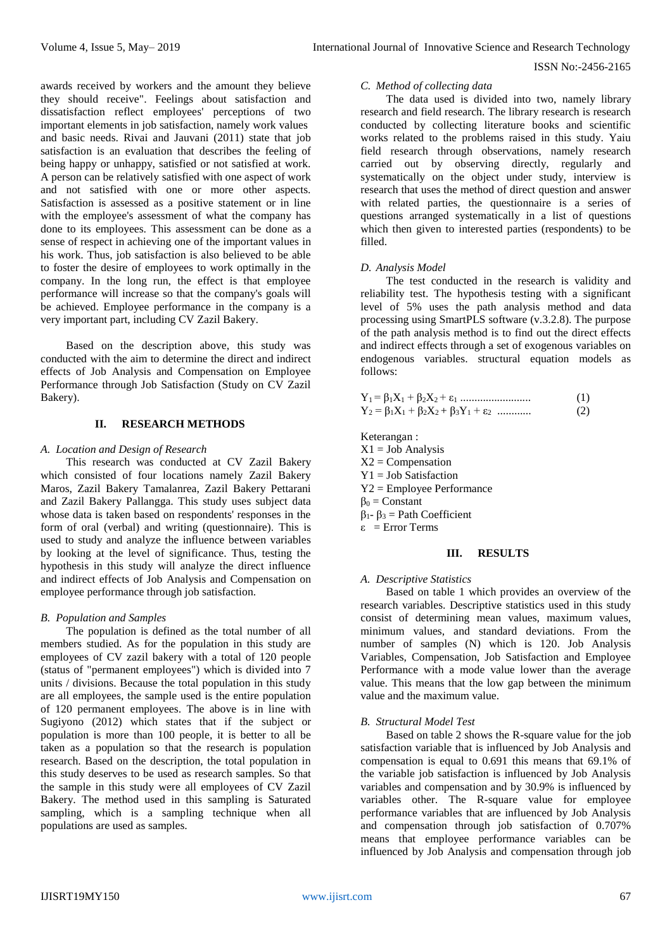*C. Method of collecting data*

The data used is divided into two, namely library research and field research. The library research is research conducted by collecting literature books and scientific works related to the problems raised in this study. Yaiu field research through observations, namely research carried out by observing directly, regularly and systematically on the object under study, interview is research that uses the method of direct question and answer with related parties, the questionnaire is a series of questions arranged systematically in a list of questions which then given to interested parties (respondents) to be filled.

# *D. Analysis Model*

The test conducted in the research is validity and reliability test. The hypothesis testing with a significant level of 5% uses the path analysis method and data processing using SmartPLS software (v.3.2.8). The purpose of the path analysis method is to find out the direct effects and indirect effects through a set of exogenous variables on endogenous variables. structural equation models as follows:

|                                                                 | (1) |
|-----------------------------------------------------------------|-----|
| $Y_2 = \beta_1 X_1 + \beta_2 X_2 + \beta_3 Y_1 + \varepsilon_2$ | (2) |

Keterangan :  $X1 = Job$  Analysis  $X2 =$ Compensation  $Y1 = Job$  Satisfaction Y2 = Employee Performance  $\beta_0$  = Constant  $\beta_1 - \beta_3 =$  Path Coefficient ε = Error Terms

# **III. RESULTS**

#### *A. Descriptive Statistics*

Based on table 1 which provides an overview of the research variables. Descriptive statistics used in this study consist of determining mean values, maximum values, minimum values, and standard deviations. From the number of samples (N) which is 120. Job Analysis Variables, Compensation, Job Satisfaction and Employee Performance with a mode value lower than the average value. This means that the low gap between the minimum value and the maximum value.

# *B. Structural Model Test*

Based on table 2 shows the R-square value for the job satisfaction variable that is influenced by Job Analysis and compensation is equal to 0.691 this means that 69.1% of the variable job satisfaction is influenced by Job Analysis variables and compensation and by 30.9% is influenced by variables other. The R-square value for employee performance variables that are influenced by Job Analysis and compensation through job satisfaction of 0.707% means that employee performance variables can be influenced by Job Analysis and compensation through job

awards received by workers and the amount they believe they should receive". Feelings about satisfaction and dissatisfaction reflect employees' perceptions of two important elements in job satisfaction, namely work values and basic needs. Rivai and Jauvani (2011) state that job satisfaction is an evaluation that describes the feeling of being happy or unhappy, satisfied or not satisfied at work. A person can be relatively satisfied with one aspect of work and not satisfied with one or more other aspects. Satisfaction is assessed as a positive statement or in line with the employee's assessment of what the company has done to its employees. This assessment can be done as a sense of respect in achieving one of the important values in his work. Thus, job satisfaction is also believed to be able to foster the desire of employees to work optimally in the company. In the long run, the effect is that employee performance will increase so that the company's goals will be achieved. Employee performance in the company is a very important part, including CV Zazil Bakery.

Based on the description above, this study was conducted with the aim to determine the direct and indirect effects of Job Analysis and Compensation on Employee Performance through Job Satisfaction (Study on CV Zazil Bakery).

#### **II. RESEARCH METHODS**

### *A. Location and Design of Research*

This research was conducted at CV Zazil Bakery which consisted of four locations namely Zazil Bakery Maros, Zazil Bakery Tamalanrea, Zazil Bakery Pettarani and Zazil Bakery Pallangga. This study uses subject data whose data is taken based on respondents' responses in the form of oral (verbal) and writing (questionnaire). This is used to study and analyze the influence between variables by looking at the level of significance. Thus, testing the hypothesis in this study will analyze the direct influence and indirect effects of Job Analysis and Compensation on employee performance through job satisfaction.

# *B. Population and Samples*

The population is defined as the total number of all members studied. As for the population in this study are employees of CV zazil bakery with a total of 120 people (status of "permanent employees") which is divided into 7 units / divisions. Because the total population in this study are all employees, the sample used is the entire population of 120 permanent employees. The above is in line with Sugivono (2012) which states that if the subject or population is more than 100 people, it is better to all be taken as a population so that the research is population research. Based on the description, the total population in this study deserves to be used as research samples. So that the sample in this study were all employees of CV Zazil Bakery. The method used in this sampling is Saturated sampling, which is a sampling technique when all populations are used as samples.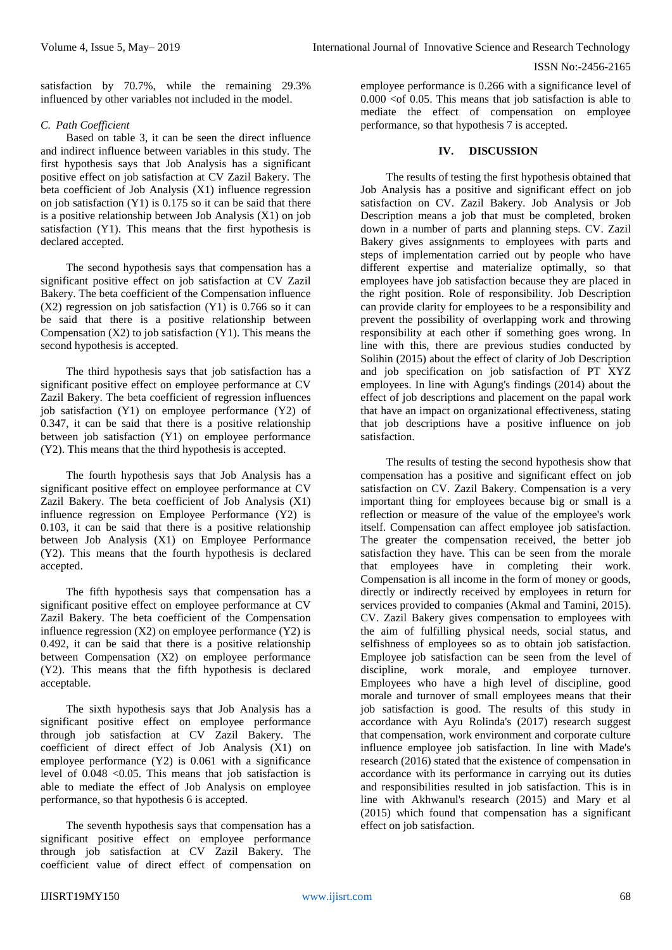satisfaction by 70.7%, while the remaining 29.3% influenced by other variables not included in the model.

# *C. Path Coefficient*

Based on table 3, it can be seen the direct influence and indirect influence between variables in this study. The first hypothesis says that Job Analysis has a significant positive effect on job satisfaction at CV Zazil Bakery. The beta coefficient of Job Analysis (X1) influence regression on job satisfaction (Y1) is 0.175 so it can be said that there is a positive relationship between Job Analysis (X1) on job satisfaction (Y1). This means that the first hypothesis is declared accepted.

The second hypothesis says that compensation has a significant positive effect on job satisfaction at CV Zazil Bakery. The beta coefficient of the Compensation influence (X2) regression on job satisfaction (Y1) is 0.766 so it can be said that there is a positive relationship between Compensation  $(X2)$  to job satisfaction  $(Y1)$ . This means the second hypothesis is accepted.

The third hypothesis says that job satisfaction has a significant positive effect on employee performance at CV Zazil Bakery. The beta coefficient of regression influences job satisfaction (Y1) on employee performance (Y2) of 0.347, it can be said that there is a positive relationship between job satisfaction (Y1) on employee performance (Y2). This means that the third hypothesis is accepted.

The fourth hypothesis says that Job Analysis has a significant positive effect on employee performance at CV Zazil Bakery. The beta coefficient of Job Analysis (X1) influence regression on Employee Performance (Y2) is 0.103, it can be said that there is a positive relationship between Job Analysis (X1) on Employee Performance (Y2). This means that the fourth hypothesis is declared accepted.

The fifth hypothesis says that compensation has a significant positive effect on employee performance at CV Zazil Bakery. The beta coefficient of the Compensation influence regression  $(X2)$  on employee performance  $(Y2)$  is 0.492, it can be said that there is a positive relationship between Compensation (X2) on employee performance (Y2). This means that the fifth hypothesis is declared acceptable.

The sixth hypothesis says that Job Analysis has a significant positive effect on employee performance through job satisfaction at CV Zazil Bakery. The coefficient of direct effect of Job Analysis (X1) on employee performance (Y2) is 0.061 with a significance level of 0.048 <0.05. This means that job satisfaction is able to mediate the effect of Job Analysis on employee performance, so that hypothesis 6 is accepted.

The seventh hypothesis says that compensation has a significant positive effect on employee performance through job satisfaction at CV Zazil Bakery. The coefficient value of direct effect of compensation on employee performance is 0.266 with a significance level of  $0.000 \lt o 60.05$ . This means that job satisfaction is able to mediate the effect of compensation on employee performance, so that hypothesis 7 is accepted.

# **IV. DISCUSSION**

The results of testing the first hypothesis obtained that Job Analysis has a positive and significant effect on job satisfaction on CV. Zazil Bakery. Job Analysis or Job Description means a job that must be completed, broken down in a number of parts and planning steps. CV. Zazil Bakery gives assignments to employees with parts and steps of implementation carried out by people who have different expertise and materialize optimally, so that employees have job satisfaction because they are placed in the right position. Role of responsibility. Job Description can provide clarity for employees to be a responsibility and prevent the possibility of overlapping work and throwing responsibility at each other if something goes wrong. In line with this, there are previous studies conducted by Solihin (2015) about the effect of clarity of Job Description and job specification on job satisfaction of PT XYZ employees. In line with Agung's findings (2014) about the effect of job descriptions and placement on the papal work that have an impact on organizational effectiveness, stating that job descriptions have a positive influence on job satisfaction.

The results of testing the second hypothesis show that compensation has a positive and significant effect on job satisfaction on CV. Zazil Bakery. Compensation is a very important thing for employees because big or small is a reflection or measure of the value of the employee's work itself. Compensation can affect employee job satisfaction. The greater the compensation received, the better job satisfaction they have. This can be seen from the morale that employees have in completing their work. Compensation is all income in the form of money or goods, directly or indirectly received by employees in return for services provided to companies (Akmal and Tamini, 2015). CV. Zazil Bakery gives compensation to employees with the aim of fulfilling physical needs, social status, and selfishness of employees so as to obtain job satisfaction. Employee job satisfaction can be seen from the level of discipline, work morale, and employee turnover. Employees who have a high level of discipline, good morale and turnover of small employees means that their job satisfaction is good. The results of this study in accordance with Ayu Rolinda's (2017) research suggest that compensation, work environment and corporate culture influence employee job satisfaction. In line with Made's research (2016) stated that the existence of compensation in accordance with its performance in carrying out its duties and responsibilities resulted in job satisfaction. This is in line with Akhwanul's research (2015) and Mary et al (2015) which found that compensation has a significant effect on job satisfaction.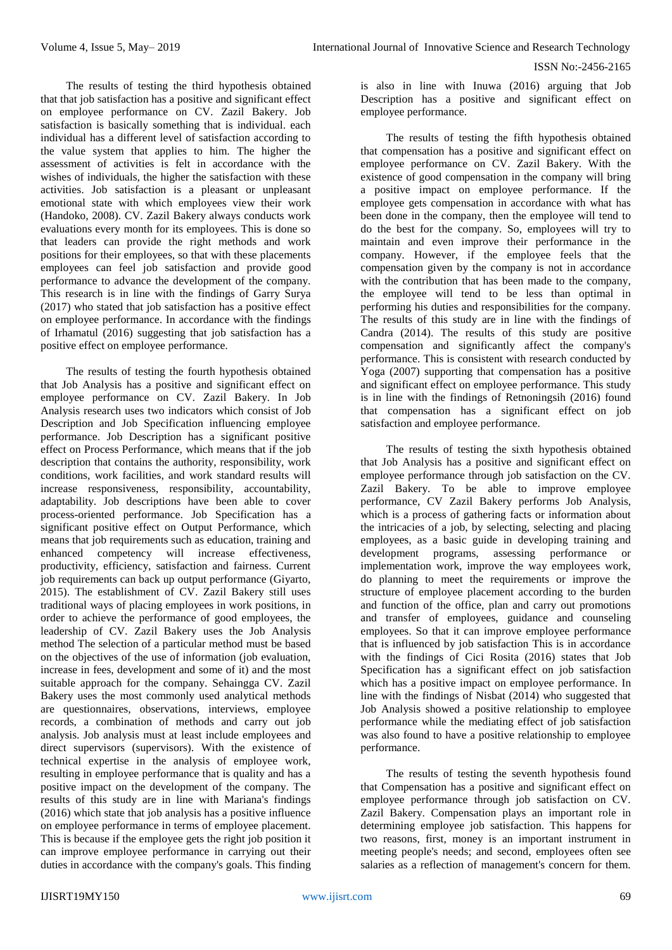The results of testing the third hypothesis obtained that that job satisfaction has a positive and significant effect on employee performance on CV. Zazil Bakery. Job satisfaction is basically something that is individual. each individual has a different level of satisfaction according to the value system that applies to him. The higher the assessment of activities is felt in accordance with the wishes of individuals, the higher the satisfaction with these activities. Job satisfaction is a pleasant or unpleasant emotional state with which employees view their work (Handoko, 2008). CV. Zazil Bakery always conducts work evaluations every month for its employees. This is done so that leaders can provide the right methods and work positions for their employees, so that with these placements employees can feel job satisfaction and provide good performance to advance the development of the company. This research is in line with the findings of Garry Surya (2017) who stated that job satisfaction has a positive effect on employee performance. In accordance with the findings of Irhamatul (2016) suggesting that job satisfaction has a positive effect on employee performance.

The results of testing the fourth hypothesis obtained that Job Analysis has a positive and significant effect on employee performance on CV. Zazil Bakery. In Job Analysis research uses two indicators which consist of Job Description and Job Specification influencing employee performance. Job Description has a significant positive effect on Process Performance, which means that if the job description that contains the authority, responsibility, work conditions, work facilities, and work standard results will increase responsiveness, responsibility, accountability, adaptability. Job descriptions have been able to cover process-oriented performance. Job Specification has a significant positive effect on Output Performance, which means that job requirements such as education, training and enhanced competency will increase effectiveness, productivity, efficiency, satisfaction and fairness. Current job requirements can back up output performance (Giyarto, 2015). The establishment of CV. Zazil Bakery still uses traditional ways of placing employees in work positions, in order to achieve the performance of good employees, the leadership of CV. Zazil Bakery uses the Job Analysis method The selection of a particular method must be based on the objectives of the use of information (job evaluation, increase in fees, development and some of it) and the most suitable approach for the company. Sehaingga CV. Zazil Bakery uses the most commonly used analytical methods are questionnaires, observations, interviews, employee records, a combination of methods and carry out job analysis. Job analysis must at least include employees and direct supervisors (supervisors). With the existence of technical expertise in the analysis of employee work, resulting in employee performance that is quality and has a positive impact on the development of the company. The results of this study are in line with Mariana's findings (2016) which state that job analysis has a positive influence on employee performance in terms of employee placement. This is because if the employee gets the right job position it can improve employee performance in carrying out their duties in accordance with the company's goals. This finding

is also in line with Inuwa (2016) arguing that Job Description has a positive and significant effect on employee performance.

The results of testing the fifth hypothesis obtained that compensation has a positive and significant effect on employee performance on CV. Zazil Bakery. With the existence of good compensation in the company will bring a positive impact on employee performance. If the employee gets compensation in accordance with what has been done in the company, then the employee will tend to do the best for the company. So, employees will try to maintain and even improve their performance in the company. However, if the employee feels that the compensation given by the company is not in accordance with the contribution that has been made to the company, the employee will tend to be less than optimal in performing his duties and responsibilities for the company. The results of this study are in line with the findings of Candra (2014). The results of this study are positive compensation and significantly affect the company's performance. This is consistent with research conducted by Yoga (2007) supporting that compensation has a positive and significant effect on employee performance. This study is in line with the findings of Retnoningsih (2016) found that compensation has a significant effect on job satisfaction and employee performance.

The results of testing the sixth hypothesis obtained that Job Analysis has a positive and significant effect on employee performance through job satisfaction on the CV. Zazil Bakery. To be able to improve employee performance, CV Zazil Bakery performs Job Analysis, which is a process of gathering facts or information about the intricacies of a job, by selecting, selecting and placing employees, as a basic guide in developing training and development programs, assessing performance or implementation work, improve the way employees work, do planning to meet the requirements or improve the structure of employee placement according to the burden and function of the office, plan and carry out promotions and transfer of employees, guidance and counseling employees. So that it can improve employee performance that is influenced by job satisfaction This is in accordance with the findings of Cici Rosita (2016) states that Job Specification has a significant effect on job satisfaction which has a positive impact on employee performance. In line with the findings of Nisbat (2014) who suggested that Job Analysis showed a positive relationship to employee performance while the mediating effect of job satisfaction was also found to have a positive relationship to employee performance.

The results of testing the seventh hypothesis found that Compensation has a positive and significant effect on employee performance through job satisfaction on CV. Zazil Bakery. Compensation plays an important role in determining employee job satisfaction. This happens for two reasons, first, money is an important instrument in meeting people's needs; and second, employees often see salaries as a reflection of management's concern for them.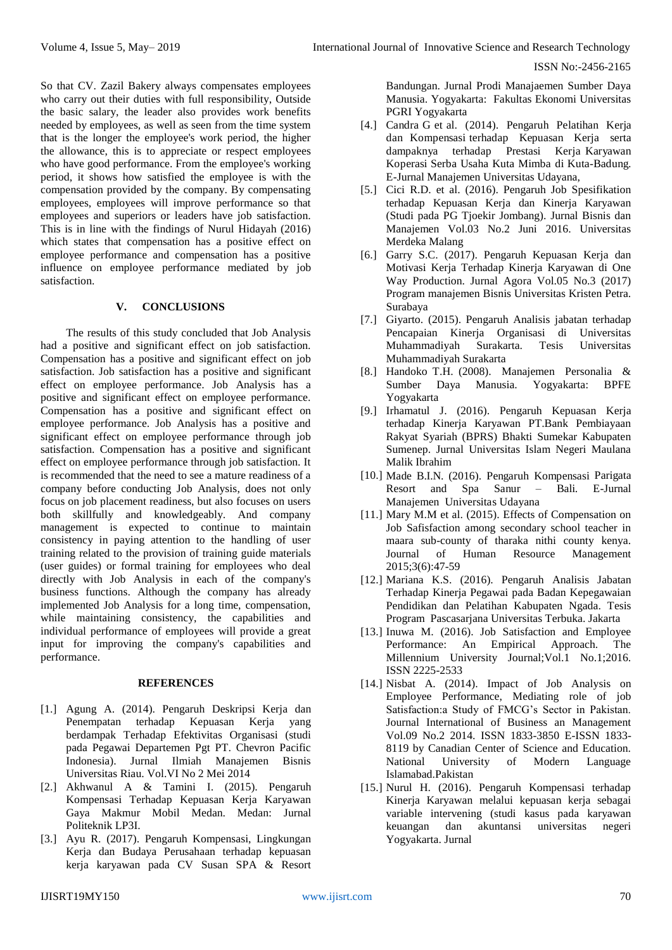So that CV. Zazil Bakery always compensates employees who carry out their duties with full responsibility, Outside the basic salary, the leader also provides work benefits needed by employees, as well as seen from the time system that is the longer the employee's work period, the higher the allowance, this is to appreciate or respect employees who have good performance. From the employee's working period, it shows how satisfied the employee is with the compensation provided by the company. By compensating employees, employees will improve performance so that employees and superiors or leaders have job satisfaction. This is in line with the findings of Nurul Hidayah (2016) which states that compensation has a positive effect on employee performance and compensation has a positive influence on employee performance mediated by job satisfaction.

# **V. CONCLUSIONS**

The results of this study concluded that Job Analysis had a positive and significant effect on job satisfaction. Compensation has a positive and significant effect on job satisfaction. Job satisfaction has a positive and significant effect on employee performance. Job Analysis has a positive and significant effect on employee performance. Compensation has a positive and significant effect on employee performance. Job Analysis has a positive and significant effect on employee performance through job satisfaction. Compensation has a positive and significant effect on employee performance through job satisfaction. It is recommended that the need to see a mature readiness of a company before conducting Job Analysis, does not only focus on job placement readiness, but also focuses on users both skillfully and knowledgeably. And company management is expected to continue to maintain consistency in paying attention to the handling of user training related to the provision of training guide materials (user guides) or formal training for employees who deal directly with Job Analysis in each of the company's business functions. Although the company has already implemented Job Analysis for a long time, compensation, while maintaining consistency, the capabilities and individual performance of employees will provide a great input for improving the company's capabilities and performance.

### **REFERENCES**

- [1.] Agung A. (2014). Pengaruh Deskripsi Kerja dan Penempatan terhadap Kepuasan Kerja yang berdampak Terhadap Efektivitas Organisasi (studi pada Pegawai Departemen Pgt PT. Chevron Pacific Indonesia). Jurnal Ilmiah Manajemen Bisnis Universitas Riau. Vol.VI No 2 Mei 2014
- [2.] Akhwanul A & Tamini I. (2015). Pengaruh Kompensasi Terhadap Kepuasan Kerja Karyawan Gaya Makmur Mobil Medan. Medan: Jurnal Politeknik LP3I.
- [3.] Ayu R. (2017). Pengaruh Kompensasi, Lingkungan Kerja dan Budaya Perusahaan terhadap kepuasan kerja karyawan pada CV Susan SPA & Resort

Bandungan. Jurnal Prodi Manajaemen Sumber Daya Manusia. Yogyakarta: Fakultas Ekonomi Universitas PGRI Yogyakarta

- [4.] Candra G et al. [\(2014\). Pe](http://ojs.unud.ac.id/index.php/Manajemen/issue/view/1114)ngaruh Pelatihan Kerja dan Kompensasi terhadap Kepuasan Kerja serta dampaknya terhadap Prestasi Kerja Karyawan Koperasi Serba Usaha Kuta Mimba di Kuta-Badung. E-Jurnal Manajemen Universitas Udayana,
- [5.] Cici R.D. et al. (2016). Pengaruh Job Spesifikation terhadap Kepuasan Kerja dan Kinerja Karyawan (Studi pada PG Tjoekir Jombang). Jurnal Bisnis dan Manajemen Vol.03 No.2 Juni 2016. Universitas Merdeka Malang
- [6.] Garry S.C. (2017). Pengaruh Kepuasan Kerja dan Motivasi Kerja Terhadap Kinerja Karyawan di One Way Production. Jurnal Agora Vol.05 No.3 (2017) Program manajemen Bisnis Universitas Kristen Petra. Surabaya
- [7.] Giyarto. (2015). Pengaruh Analisis jabatan terhadap Pencapaian Kinerja Organisasi di Universitas Muhammadiyah Surakarta. Tesis Universitas Muhammadiyah Surakarta
- [8.] Handoko T.H. (2008). Manajemen Personalia & Sumber Daya Manusia. Yogyakarta: BPFE Yogyakarta
- [9.] Irhamatul J. (2016). Pengaruh Kepuasan Kerja terhadap Kinerja Karyawan PT.Bank Pembiayaan Rakyat Syariah (BPRS) Bhakti Sumekar Kabupaten Sumenep. Jurnal Universitas Islam Negeri Maulana Malik Ibrahim
- [10.] Made B.I.N. (2016). Pengaruh Kompensasi Parigata Resort and Spa Sanur – Bali. E-Jurnal Manajemen Universitas Udayana
- [11.] Mary M.M et al. (2015). Effects of Compensation on Job Safisfaction among secondary school teacher in maara sub-county of tharaka nithi county kenya. Journal of Human Resource Management 2015;3(6):47-59
- [12.] Mariana K.S. (2016). Pengaruh Analisis Jabatan Terhadap Kinerja Pegawai pada Badan Kepegawaian Pendidikan dan Pelatihan Kabupaten Ngada. Tesis Program Pascasarjana Universitas Terbuka. Jakarta
- [13.] Inuwa M. (2016). Job Satisfaction and Employee Performance: An Empirical Approach. The Millennium University Journal;Vol.1 No.1;2016. ISSN 2225-2533
- [14.] Nisbat A. (2014). Impact of Job Analysis on Employee Performance, Mediating role of job Satisfaction:a Study of FMCG's Sector in Pakistan. Journal International of Business an Management Vol.09 No.2 2014. ISSN 1833-3850 E-ISSN 1833- 8119 by Canadian Center of Science and Education. National University of Modern Language Islamabad.Pakistan
- [15.] Nurul H. (2016). Pengaruh Kompensasi terhadap Kinerja Karyawan melalui kepuasan kerja sebagai variable intervening (studi kasus pada karyawan keuangan dan akuntansi universitas negeri Yogyakarta. Jurnal